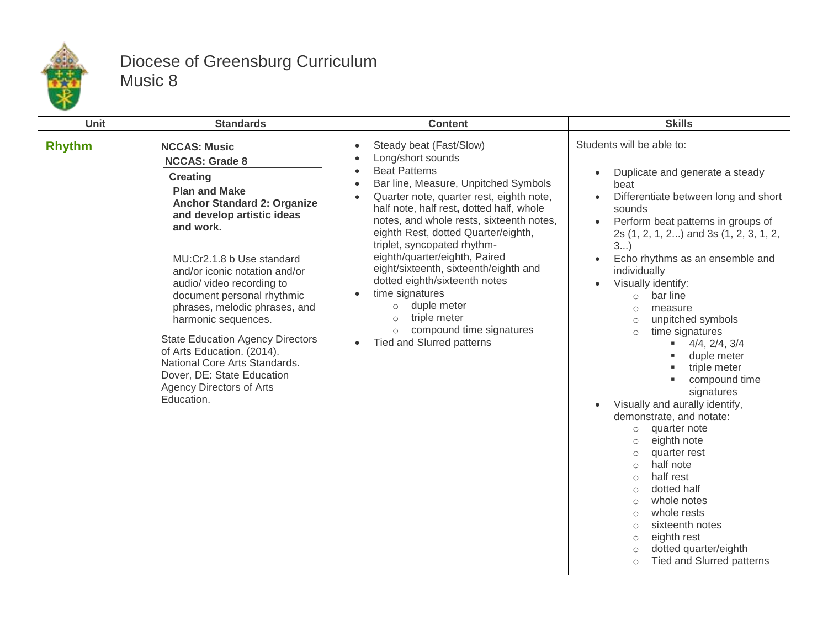

## Diocese of Greensburg Curriculum Music 8

| Unit          | <b>Standards</b>                                                                                                                                                                                                                                                                                                                                                                                                                                                                                                                                   | <b>Content</b>                                                                                                                                                                                                                                                                                                                                                                                                                                                                                                                                                                                                                                                           | <b>Skills</b>                                                                                                                                                                                                                                                                                                                                                                                                                                                                                                                                                                                                                                                                                                                                                                                                                                                                                                                                                                          |
|---------------|----------------------------------------------------------------------------------------------------------------------------------------------------------------------------------------------------------------------------------------------------------------------------------------------------------------------------------------------------------------------------------------------------------------------------------------------------------------------------------------------------------------------------------------------------|--------------------------------------------------------------------------------------------------------------------------------------------------------------------------------------------------------------------------------------------------------------------------------------------------------------------------------------------------------------------------------------------------------------------------------------------------------------------------------------------------------------------------------------------------------------------------------------------------------------------------------------------------------------------------|----------------------------------------------------------------------------------------------------------------------------------------------------------------------------------------------------------------------------------------------------------------------------------------------------------------------------------------------------------------------------------------------------------------------------------------------------------------------------------------------------------------------------------------------------------------------------------------------------------------------------------------------------------------------------------------------------------------------------------------------------------------------------------------------------------------------------------------------------------------------------------------------------------------------------------------------------------------------------------------|
| <b>Rhythm</b> | <b>NCCAS: Music</b><br><b>NCCAS: Grade 8</b><br><b>Creating</b><br><b>Plan and Make</b><br><b>Anchor Standard 2: Organize</b><br>and develop artistic ideas<br>and work.<br>MU:Cr2.1.8 b Use standard<br>and/or iconic notation and/or<br>audio/ video recording to<br>document personal rhythmic<br>phrases, melodic phrases, and<br>harmonic sequences.<br><b>State Education Agency Directors</b><br>of Arts Education. (2014).<br>National Core Arts Standards.<br>Dover, DE: State Education<br><b>Agency Directors of Arts</b><br>Education. | Steady beat (Fast/Slow)<br>$\bullet$<br>Long/short sounds<br>$\bullet$<br><b>Beat Patterns</b><br>$\bullet$<br>Bar line, Measure, Unpitched Symbols<br>$\bullet$<br>Quarter note, quarter rest, eighth note,<br>$\bullet$<br>half note, half rest, dotted half, whole<br>notes, and whole rests, sixteenth notes,<br>eighth Rest, dotted Quarter/eighth,<br>triplet, syncopated rhythm-<br>eighth/quarter/eighth, Paired<br>eight/sixteenth, sixteenth/eighth and<br>dotted eighth/sixteenth notes<br>time signatures<br>$\bullet$<br>duple meter<br>$\circ$<br>triple meter<br>$\circ$<br>compound time signatures<br>$\circ$<br>Tied and Slurred patterns<br>$\bullet$ | Students will be able to:<br>Duplicate and generate a steady<br>$\bullet$<br>beat<br>Differentiate between long and short<br>$\bullet$<br>sounds<br>Perform beat patterns in groups of<br>$\bullet$<br>2s (1, 2, 1, 2) and 3s (1, 2, 3, 1, 2,<br>3<br>Echo rhythms as an ensemble and<br>$\bullet$<br>individually<br>Visually identify:<br>$\bullet$<br>bar line<br>$\circ$<br>measure<br>$\circ$<br>unpitched symbols<br>$\circ$<br>time signatures<br>$\circ$<br>$-4/4, 2/4, 3/4$<br>duple meter<br>triple meter<br>compound time<br>signatures<br>Visually and aurally identify,<br>$\bullet$<br>demonstrate, and notate:<br>quarter note<br>$\circ$<br>eighth note<br>$\circ$<br>quarter rest<br>$\circ$<br>half note<br>$\circ$<br>half rest<br>$\circ$<br>dotted half<br>$\circ$<br>whole notes<br>$\circ$<br>whole rests<br>$\circ$<br>sixteenth notes<br>$\circ$<br>eighth rest<br>$\circ$<br>dotted quarter/eighth<br>$\circ$<br><b>Tied and Slurred patterns</b><br>$\circ$ |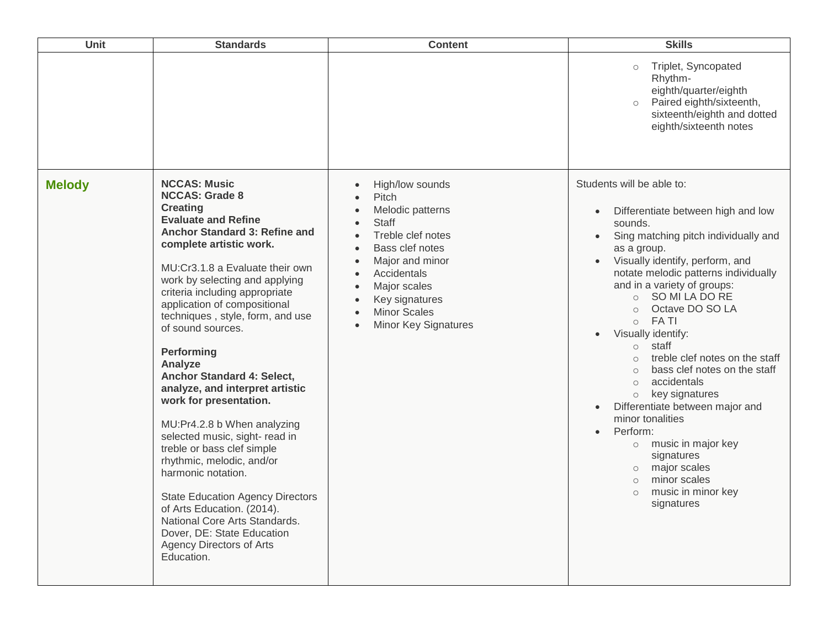| Unit          | <b>Standards</b>                                                                                                                                                                                                                                                                                                                                                                                                                                                                                                                                                                                                                                                                                                                                                                                                                | <b>Content</b>                                                                                                                                                                                                                 | <b>Skills</b>                                                                                                                                                                                                                                                                                                                                                                                                                                                                                                                                                                                                                                                                                                                                                                                                       |
|---------------|---------------------------------------------------------------------------------------------------------------------------------------------------------------------------------------------------------------------------------------------------------------------------------------------------------------------------------------------------------------------------------------------------------------------------------------------------------------------------------------------------------------------------------------------------------------------------------------------------------------------------------------------------------------------------------------------------------------------------------------------------------------------------------------------------------------------------------|--------------------------------------------------------------------------------------------------------------------------------------------------------------------------------------------------------------------------------|---------------------------------------------------------------------------------------------------------------------------------------------------------------------------------------------------------------------------------------------------------------------------------------------------------------------------------------------------------------------------------------------------------------------------------------------------------------------------------------------------------------------------------------------------------------------------------------------------------------------------------------------------------------------------------------------------------------------------------------------------------------------------------------------------------------------|
|               |                                                                                                                                                                                                                                                                                                                                                                                                                                                                                                                                                                                                                                                                                                                                                                                                                                 |                                                                                                                                                                                                                                | Triplet, Syncopated<br>$\circ$<br>Rhythm-<br>eighth/quarter/eighth<br>Paired eighth/sixteenth,<br>$\circ$<br>sixteenth/eighth and dotted<br>eighth/sixteenth notes                                                                                                                                                                                                                                                                                                                                                                                                                                                                                                                                                                                                                                                  |
| <b>Melody</b> | <b>NCCAS: Music</b><br><b>NCCAS: Grade 8</b><br><b>Creating</b><br><b>Evaluate and Refine</b><br>Anchor Standard 3: Refine and<br>complete artistic work.<br>MU:Cr3.1.8 a Evaluate their own<br>work by selecting and applying<br>criteria including appropriate<br>application of compositional<br>techniques, style, form, and use<br>of sound sources.<br>Performing<br>Analyze<br><b>Anchor Standard 4: Select,</b><br>analyze, and interpret artistic<br>work for presentation.<br>MU:Pr4.2.8 b When analyzing<br>selected music, sight- read in<br>treble or bass clef simple<br>rhythmic, melodic, and/or<br>harmonic notation.<br><b>State Education Agency Directors</b><br>of Arts Education. (2014).<br>National Core Arts Standards.<br>Dover, DE: State Education<br><b>Agency Directors of Arts</b><br>Education. | High/low sounds<br>Pitch<br>Melodic patterns<br><b>Staff</b><br>Treble clef notes<br>Bass clef notes<br>Major and minor<br>Accidentals<br>Major scales<br>Key signatures<br><b>Minor Scales</b><br><b>Minor Key Signatures</b> | Students will be able to:<br>Differentiate between high and low<br>$\bullet$<br>sounds.<br>Sing matching pitch individually and<br>$\bullet$<br>as a group.<br>Visually identify, perform, and<br>notate melodic patterns individually<br>and in a variety of groups:<br>SO MI LA DO RE<br>$\circ$<br>Octave DO SO LA<br>$\circ$<br><b>FATI</b><br>$\circ$<br>Visually identify:<br>staff<br>$\circ$<br>treble clef notes on the staff<br>$\circ$<br>bass clef notes on the staff<br>$\circ$<br>accidentals<br>$\circ$<br>key signatures<br>$\bigcirc$<br>Differentiate between major and<br>$\bullet$<br>minor tonalities<br>Perform:<br>$\bullet$<br>music in major key<br>$\circ$<br>signatures<br>major scales<br>$\circlearrowright$<br>minor scales<br>$\circ$<br>music in minor key<br>$\circ$<br>signatures |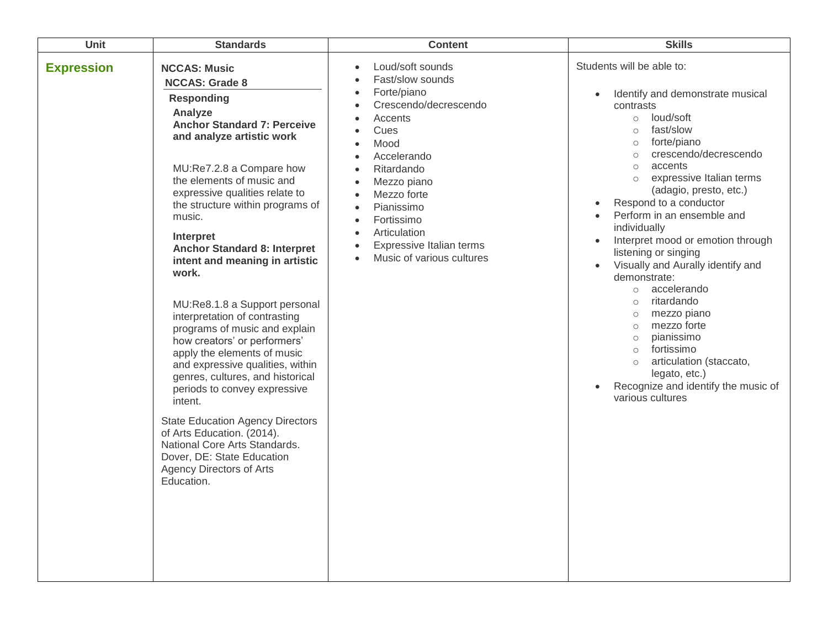| Unit              | <b>Standards</b>                                                                                                                                                                                                                                                                                                                                                                                                                                                                                                                                                                                                                                                                                                                                                                                                                                                      | <b>Content</b>                                                                                                                                                                                                                                                                                                                                                                                                                                                                          | <b>Skills</b>                                                                                                                                                                                                                                                                                                                                                                                                                                                                                                                                                                                                                                                                                                                                                                               |
|-------------------|-----------------------------------------------------------------------------------------------------------------------------------------------------------------------------------------------------------------------------------------------------------------------------------------------------------------------------------------------------------------------------------------------------------------------------------------------------------------------------------------------------------------------------------------------------------------------------------------------------------------------------------------------------------------------------------------------------------------------------------------------------------------------------------------------------------------------------------------------------------------------|-----------------------------------------------------------------------------------------------------------------------------------------------------------------------------------------------------------------------------------------------------------------------------------------------------------------------------------------------------------------------------------------------------------------------------------------------------------------------------------------|---------------------------------------------------------------------------------------------------------------------------------------------------------------------------------------------------------------------------------------------------------------------------------------------------------------------------------------------------------------------------------------------------------------------------------------------------------------------------------------------------------------------------------------------------------------------------------------------------------------------------------------------------------------------------------------------------------------------------------------------------------------------------------------------|
| <b>Expression</b> | <b>NCCAS: Music</b><br><b>NCCAS: Grade 8</b><br><b>Responding</b><br>Analyze<br><b>Anchor Standard 7: Perceive</b><br>and analyze artistic work<br>MU:Re7.2.8 a Compare how<br>the elements of music and<br>expressive qualities relate to<br>the structure within programs of<br>music.<br>Interpret<br><b>Anchor Standard 8: Interpret</b><br>intent and meaning in artistic<br>work.<br>MU:Re8.1.8 a Support personal<br>interpretation of contrasting<br>programs of music and explain<br>how creators' or performers'<br>apply the elements of music<br>and expressive qualities, within<br>genres, cultures, and historical<br>periods to convey expressive<br>intent.<br><b>State Education Agency Directors</b><br>of Arts Education. (2014).<br>National Core Arts Standards.<br>Dover, DE: State Education<br><b>Agency Directors of Arts</b><br>Education. | Loud/soft sounds<br>$\bullet$<br>Fast/slow sounds<br>$\bullet$<br>Forte/piano<br>$\bullet$<br>Crescendo/decrescendo<br>$\bullet$<br>Accents<br>$\bullet$<br>Cues<br>$\bullet$<br>Mood<br>$\bullet$<br>Accelerando<br>$\bullet$<br>Ritardando<br>$\bullet$<br>Mezzo piano<br>$\bullet$<br>Mezzo forte<br>$\bullet$<br>Pianissimo<br>$\bullet$<br>Fortissimo<br>$\bullet$<br>Articulation<br>$\bullet$<br>Expressive Italian terms<br>$\bullet$<br>Music of various cultures<br>$\bullet$ | Students will be able to:<br>Identify and demonstrate musical<br>$\bullet$<br>contrasts<br>loud/soft<br>$\circ$<br>fast/slow<br>$\circ$<br>forte/piano<br>$\circ$<br>crescendo/decrescendo<br>$\circ$<br>accents<br>$\circ$<br>expressive Italian terms<br>$\circ$<br>(adagio, presto, etc.)<br>Respond to a conductor<br>Perform in an ensemble and<br>$\bullet$<br>individually<br>Interpret mood or emotion through<br>listening or singing<br>Visually and Aurally identify and<br>$\bullet$<br>demonstrate:<br>accelerando<br>$\circ$<br>ritardando<br>$\circ$<br>mezzo piano<br>$\circ$<br>mezzo forte<br>$\circ$<br>pianissimo<br>$\circ$<br>fortissimo<br>$\circ$<br>articulation (staccato,<br>$\circ$<br>legato, etc.)<br>Recognize and identify the music of<br>various cultures |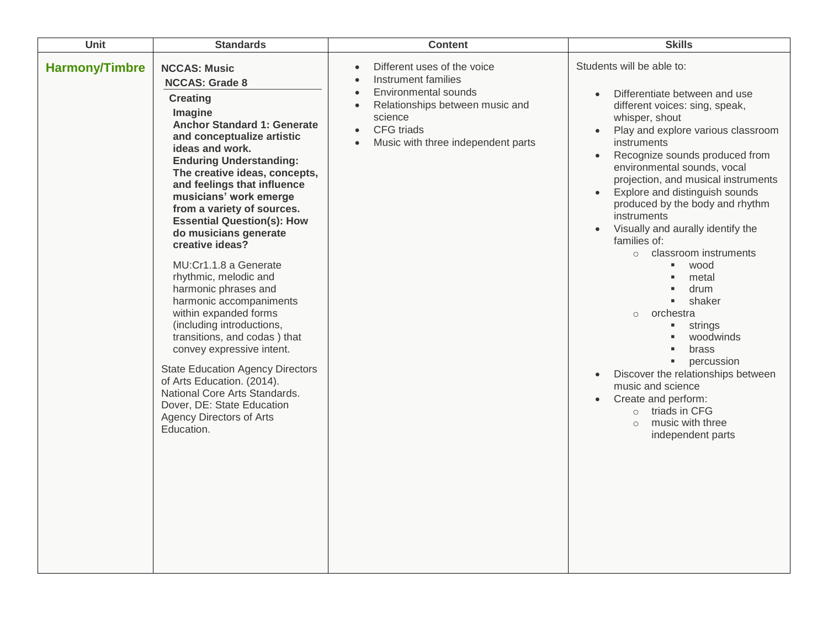| Unit                  | <b>Standards</b>                                                                                                                                                                                                                                                                                                                                                                                                                                                                                                                                                                                                                                                                                                                                                                                                              | <b>Content</b>                                                                                                                                                                                                                                       | <b>Skills</b>                                                                                                                                                                                                                                                                                                                                                                                                                                                                                                                                                                                                                                                                                                                                                                                 |
|-----------------------|-------------------------------------------------------------------------------------------------------------------------------------------------------------------------------------------------------------------------------------------------------------------------------------------------------------------------------------------------------------------------------------------------------------------------------------------------------------------------------------------------------------------------------------------------------------------------------------------------------------------------------------------------------------------------------------------------------------------------------------------------------------------------------------------------------------------------------|------------------------------------------------------------------------------------------------------------------------------------------------------------------------------------------------------------------------------------------------------|-----------------------------------------------------------------------------------------------------------------------------------------------------------------------------------------------------------------------------------------------------------------------------------------------------------------------------------------------------------------------------------------------------------------------------------------------------------------------------------------------------------------------------------------------------------------------------------------------------------------------------------------------------------------------------------------------------------------------------------------------------------------------------------------------|
| <b>Harmony/Timbre</b> | <b>NCCAS: Music</b><br><b>NCCAS: Grade 8</b><br><b>Creating</b><br>Imagine<br><b>Anchor Standard 1: Generate</b><br>and conceptualize artistic<br>ideas and work.<br><b>Enduring Understanding:</b><br>The creative ideas, concepts,<br>and feelings that influence<br>musicians' work emerge<br>from a variety of sources.<br><b>Essential Question(s): How</b><br>do musicians generate<br>creative ideas?<br>MU:Cr1.1.8 a Generate<br>rhythmic, melodic and<br>harmonic phrases and<br>harmonic accompaniments<br>within expanded forms<br>(including introductions,<br>transitions, and codas) that<br>convey expressive intent.<br><b>State Education Agency Directors</b><br>of Arts Education. (2014).<br>National Core Arts Standards.<br>Dover, DE: State Education<br><b>Agency Directors of Arts</b><br>Education. | Different uses of the voice<br>$\bullet$<br>Instrument families<br><b>Environmental sounds</b><br>$\bullet$<br>Relationships between music and<br>$\bullet$<br>science<br>CFG triads<br>$\bullet$<br>Music with three independent parts<br>$\bullet$ | Students will be able to:<br>Differentiate between and use<br>different voices: sing, speak,<br>whisper, shout<br>Play and explore various classroom<br>instruments<br>Recognize sounds produced from<br>environmental sounds, vocal<br>projection, and musical instruments<br>Explore and distinguish sounds<br>produced by the body and rhythm<br>instruments<br>Visually and aurally identify the<br>families of:<br>classroom instruments<br>$\circ$<br>wood<br>×,<br>metal<br>drum<br>shaker<br>٠<br>orchestra<br>$\circ$<br>strings<br>٠<br>woodwinds<br>brass<br>percussion<br>$\blacksquare$<br>Discover the relationships between<br>$\bullet$<br>music and science<br>Create and perform:<br>$\bullet$<br>$\circ$ triads in CFG<br>music with three<br>$\circ$<br>independent parts |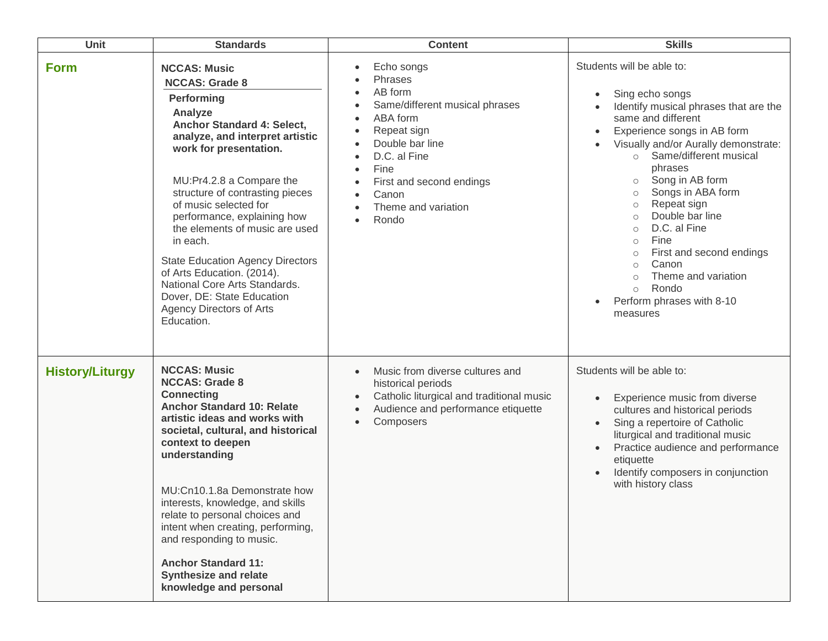| Unit                   | <b>Standards</b>                                                                                                                                                                                                                                                                                                                                                                                                                                                                                                               | <b>Content</b>                                                                                                                                                                                                                                                                                                        | <b>Skills</b>                                                                                                                                                                                                                                                                                                                                                                                                                                                                                                                                                                              |
|------------------------|--------------------------------------------------------------------------------------------------------------------------------------------------------------------------------------------------------------------------------------------------------------------------------------------------------------------------------------------------------------------------------------------------------------------------------------------------------------------------------------------------------------------------------|-----------------------------------------------------------------------------------------------------------------------------------------------------------------------------------------------------------------------------------------------------------------------------------------------------------------------|--------------------------------------------------------------------------------------------------------------------------------------------------------------------------------------------------------------------------------------------------------------------------------------------------------------------------------------------------------------------------------------------------------------------------------------------------------------------------------------------------------------------------------------------------------------------------------------------|
| <b>Form</b>            | <b>NCCAS: Music</b><br><b>NCCAS: Grade 8</b><br>Performing<br>Analyze<br>Anchor Standard 4: Select,<br>analyze, and interpret artistic<br>work for presentation.<br>MU:Pr4.2.8 a Compare the<br>structure of contrasting pieces<br>of music selected for<br>performance, explaining how<br>the elements of music are used<br>in each.<br><b>State Education Agency Directors</b><br>of Arts Education. (2014).<br>National Core Arts Standards.<br>Dover, DE: State Education<br><b>Agency Directors of Arts</b><br>Education. | Echo songs<br>$\bullet$<br>Phrases<br>AB form<br>$\bullet$<br>Same/different musical phrases<br>$\bullet$<br>ABA form<br>$\bullet$<br>Repeat sign<br>Double bar line<br>D.C. al Fine<br>Fine<br>$\bullet$<br>First and second endings<br>$\bullet$<br>Canon<br>$\bullet$<br>Theme and variation<br>$\bullet$<br>Rondo | Students will be able to:<br>Sing echo songs<br>$\bullet$<br>Identify musical phrases that are the<br>same and different<br>Experience songs in AB form<br>Visually and/or Aurally demonstrate:<br>Same/different musical<br>$\circ$<br>phrases<br>Song in AB form<br>$\circ$<br>Songs in ABA form<br>$\circ$<br>Repeat sign<br>$\circ$<br>Double bar line<br>$\circ$<br>D.C. al Fine<br>$\circ$<br>Fine<br>$\circ$<br>First and second endings<br>$\circ$<br>Canon<br>$\circ$<br>Theme and variation<br>$\circ$<br>Rondo<br>$\circ$<br>Perform phrases with 8-10<br>$\bullet$<br>measures |
| <b>History/Liturgy</b> | <b>NCCAS: Music</b><br><b>NCCAS: Grade 8</b><br><b>Connecting</b><br><b>Anchor Standard 10: Relate</b><br>artistic ideas and works with<br>societal, cultural, and historical<br>context to deepen<br>understanding<br>MU:Cn10.1.8a Demonstrate how<br>interests, knowledge, and skills<br>relate to personal choices and<br>intent when creating, performing,<br>and responding to music.<br><b>Anchor Standard 11:</b><br><b>Synthesize and relate</b><br>knowledge and personal                                             | Music from diverse cultures and<br>$\bullet$<br>historical periods<br>Catholic liturgical and traditional music<br>$\bullet$<br>Audience and performance etiquette<br>$\bullet$<br>Composers<br>$\bullet$                                                                                                             | Students will be able to:<br>Experience music from diverse<br>$\bullet$<br>cultures and historical periods<br>Sing a repertoire of Catholic<br>liturgical and traditional music<br>Practice audience and performance<br>$\bullet$<br>etiquette<br>Identify composers in conjunction<br>with history class                                                                                                                                                                                                                                                                                  |